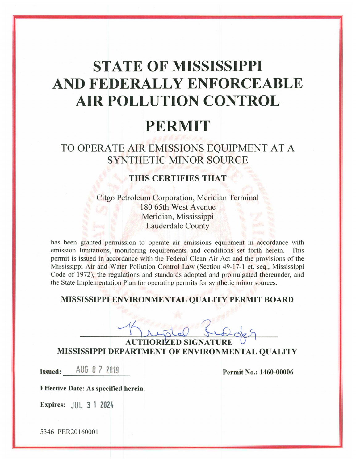# **STATE OF MISSISSIPPI** AND FEDERALLY ENFORCEABLE AIR POLLUTION CONTROL

## **PERMIT**

### TO OPERATE AIR EMISSIONS EQUIPMENT AT A **SYNTHETIC MINOR SOURCE**

#### **THIS CERTIFIES THAT**

Citgo Petroleum Corporation, Meridian Terminal 180 65th West Avenue Meridian, Mississippi **Lauderdale County** 

has been granted permission to operate air emissions equipment in accordance with emission limitations, monitoring requirements and conditions set forth herein. This permit is issued in accordance with the Federal Clean Air Act and the provisions of the Mississippi Air and Water Pollution Control Law (Section 49-17-1 et. seq., Mississippi Code of 1972), the regulations and standards adopted and promulgated thereunder, and the State Implementation Plan for operating permits for synthetic minor sources.

#### MISSISSIPPI ENVIRONMENTAL QUALITY PERMIT BOARD

**AUTHORIZED SIGNATURE MISSISSIPPI DEPARTMENT OF ENVIRONMENTAL QUALITY** 

Issued: AUG 0 7 2019

Permit No.: 1460-00006

**Effective Date: As specified herein.** 

**Expires:** JUL 3 1 2024

5346 PER20160001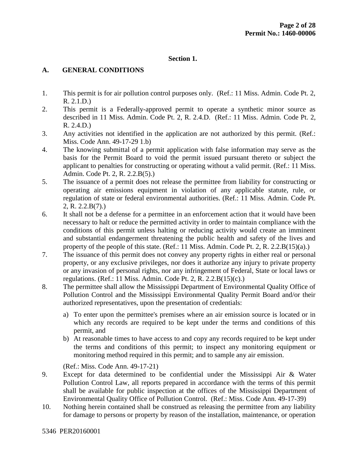#### **Section 1.**

#### **A. GENERAL CONDITIONS**

- 1. This permit is for air pollution control purposes only. (Ref.: 11 Miss. Admin. Code Pt. 2, R. 2.1.D.)
- 2. This permit is a Federally-approved permit to operate a synthetic minor source as described in 11 Miss. Admin. Code Pt. 2, R. 2.4.D. (Ref.: 11 Miss. Admin. Code Pt. 2, R. 2.4.D.)
- 3. Any activities not identified in the application are not authorized by this permit. (Ref.: Miss. Code Ann. 49-17-29 1.b)
- 4. The knowing submittal of a permit application with false information may serve as the basis for the Permit Board to void the permit issued pursuant thereto or subject the applicant to penalties for constructing or operating without a valid permit. (Ref.: 11 Miss. Admin. Code Pt. 2, R. 2.2.B(5).)
- 5. The issuance of a permit does not release the permittee from liability for constructing or operating air emissions equipment in violation of any applicable statute, rule, or regulation of state or federal environmental authorities. (Ref.: 11 Miss. Admin. Code Pt. 2, R. 2.2.B(7).)
- 6. It shall not be a defense for a permittee in an enforcement action that it would have been necessary to halt or reduce the permitted activity in order to maintain compliance with the conditions of this permit unless halting or reducing activity would create an imminent and substantial endangerment threatening the public health and safety of the lives and property of the people of this state. (Ref.: 11 Miss. Admin. Code Pt. 2, R. 2.2. $B(15)(a)$ .)
- 7. The issuance of this permit does not convey any property rights in either real or personal property, or any exclusive privileges, nor does it authorize any injury to private property or any invasion of personal rights, nor any infringement of Federal, State or local laws or regulations. (Ref.: 11 Miss. Admin. Code Pt. 2, R. 2.2.B(15)(c).)
- 8. The permittee shall allow the Mississippi Department of Environmental Quality Office of Pollution Control and the Mississippi Environmental Quality Permit Board and/or their authorized representatives, upon the presentation of credentials:
	- a) To enter upon the permittee's premises where an air emission source is located or in which any records are required to be kept under the terms and conditions of this permit, and
	- b) At reasonable times to have access to and copy any records required to be kept under the terms and conditions of this permit; to inspect any monitoring equipment or monitoring method required in this permit; and to sample any air emission.

(Ref.: Miss. Code Ann. 49-17-21)

- 9. Except for data determined to be confidential under the Mississippi Air & Water Pollution Control Law, all reports prepared in accordance with the terms of this permit shall be available for public inspection at the offices of the Mississippi Department of Environmental Quality Office of Pollution Control. (Ref.: Miss. Code Ann. 49-17-39)
- 10. Nothing herein contained shall be construed as releasing the permittee from any liability for damage to persons or property by reason of the installation, maintenance, or operation

5346 PER20160001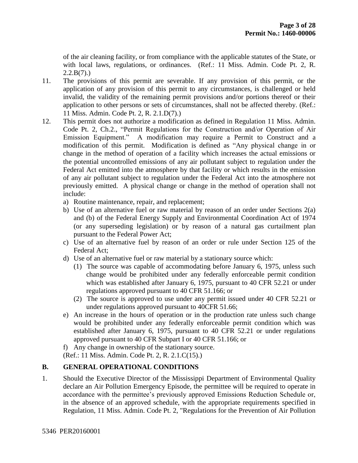of the air cleaning facility, or from compliance with the applicable statutes of the State, or with local laws, regulations, or ordinances. (Ref.: 11 Miss. Admin. Code Pt. 2, R.  $2.2.B(7)$ .

- 11. The provisions of this permit are severable. If any provision of this permit, or the application of any provision of this permit to any circumstances, is challenged or held invalid, the validity of the remaining permit provisions and/or portions thereof or their application to other persons or sets of circumstances, shall not be affected thereby. (Ref.: 11 Miss. Admin. Code Pt. 2, R. 2.1.D(7).)
- 12. This permit does not authorize a modification as defined in Regulation 11 Miss. Admin. Code Pt. 2, Ch.2., "Permit Regulations for the Construction and/or Operation of Air Emission Equipment." A modification may require a Permit to Construct and a modification of this permit. Modification is defined as "Any physical change in or change in the method of operation of a facility which increases the actual emissions or the potential uncontrolled emissions of any air pollutant subject to regulation under the Federal Act emitted into the atmosphere by that facility or which results in the emission of any air pollutant subject to regulation under the Federal Act into the atmosphere not previously emitted. A physical change or change in the method of operation shall not include:
	- a) Routine maintenance, repair, and replacement;
	- b) Use of an alternative fuel or raw material by reason of an order under Sections 2(a) and (b) of the Federal Energy Supply and Environmental Coordination Act of 1974 (or any superseding legislation) or by reason of a natural gas curtailment plan pursuant to the Federal Power Act;
	- c) Use of an alternative fuel by reason of an order or rule under Section 125 of the Federal Act;
	- d) Use of an alternative fuel or raw material by a stationary source which:
		- (1) The source was capable of accommodating before January 6, 1975, unless such change would be prohibited under any federally enforceable permit condition which was established after January 6, 1975, pursuant to 40 CFR 52.21 or under regulations approved pursuant to 40 CFR 51.166; or
		- (2) The source is approved to use under any permit issued under 40 CFR 52.21 or under regulations approved pursuant to 40CFR 51.66;
	- e) An increase in the hours of operation or in the production rate unless such change would be prohibited under any federally enforceable permit condition which was established after January 6, 1975, pursuant to 40 CFR 52.21 or under regulations approved pursuant to 40 CFR Subpart I or 40 CFR 51.166; or

f) Any change in ownership of the stationary source.

(Ref.: 11 Miss. Admin. Code Pt. 2, R. 2.1.C(15).)

#### **B. GENERAL OPERATIONAL CONDITIONS**

1. Should the Executive Director of the Mississippi Department of Environmental Quality declare an Air Pollution Emergency Episode, the permittee will be required to operate in accordance with the permittee's previously approved Emissions Reduction Schedule or, in the absence of an approved schedule, with the appropriate requirements specified in Regulation, 11 Miss. Admin. Code Pt. 2, "Regulations for the Prevention of Air Pollution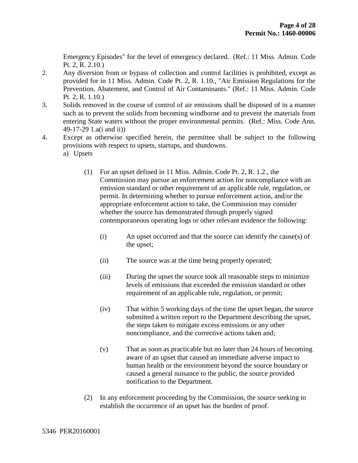Emergency Episodes" for the level of emergency declared. (Ref.: 11 Miss. Admin. Code Pt. 2, R. 2.10.)

- 2. Any diversion from or bypass of collection and control facilities is prohibited, except as provided for in 11 Miss. Admin. Code Pt. 2, R. 1.10., "Air Emission Regulations for the Prevention, Abatement, and Control of Air Contaminants." (Ref.: 11 Miss. Admin. Code Pt. 2, R. 1.10.)
- 3. Solids removed in the course of control of air emissions shall be disposed of in a manner such as to prevent the solids from becoming windborne and to prevent the materials from entering State waters without the proper environmental permits. (Ref.: Miss. Code Ann. 49-17-29 1.a(i and ii))
- 4. Except as otherwise specified herein, the permittee shall be subject to the following provisions with respect to upsets, startups, and shutdowns. a) Upsets
	- (1) For an upset defined in 11 Miss. Admin. Code Pt. 2, R. 1.2., the Commission may pursue an enforcement action for noncompliance with an emission standard or other requirement of an applicable rule, regulation, or permit. In determining whether to pursue enforcement action, and/or the appropriate enforcement action to take, the Commission may consider whether the source has demonstrated through properly signed contemporaneous operating logs or other relevant evidence the following:
		- (i) An upset occurred and that the source can identify the cause(s) of the upset;
		- (ii) The source was at the time being properly operated;
		- (iii) During the upset the source took all reasonable steps to minimize levels of emissions that exceeded the emission standard or other requirement of an applicable rule, regulation, or permit;
		- (iv) That within 5 working days of the time the upset began, the source submitted a written report to the Department describing the upset, the steps taken to mitigate excess emissions or any other noncompliance, and the corrective actions taken and;
		- (v) That as soon as practicable but no later than 24 hours of becoming aware of an upset that caused an immediate adverse impact to human health or the environment beyond the source boundary or caused a general nuisance to the public, the source provided notification to the Department.
	- (2) In any enforcement proceeding by the Commission, the source seeking to establish the occurrence of an upset has the burden of proof.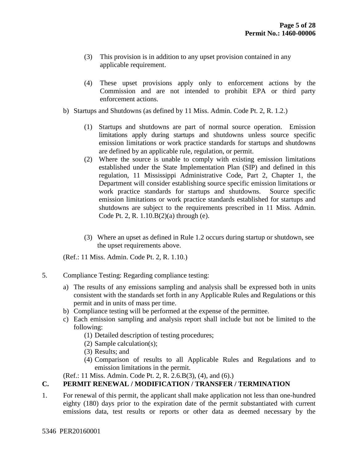- (3) This provision is in addition to any upset provision contained in any applicable requirement.
- (4) These upset provisions apply only to enforcement actions by the Commission and are not intended to prohibit EPA or third party enforcement actions.
- b) Startups and Shutdowns (as defined by 11 Miss. Admin. Code Pt. 2, R. 1.2.)
	- (1) Startups and shutdowns are part of normal source operation. Emission limitations apply during startups and shutdowns unless source specific emission limitations or work practice standards for startups and shutdowns are defined by an applicable rule, regulation, or permit.
	- (2) Where the source is unable to comply with existing emission limitations established under the State Implementation Plan (SIP) and defined in this regulation, 11 Mississippi Administrative Code, Part 2, Chapter 1, the Department will consider establishing source specific emission limitations or work practice standards for startups and shutdowns. Source specific emission limitations or work practice standards established for startups and shutdowns are subject to the requirements prescribed in 11 Miss. Admin. Code Pt. 2, R. 1.10.B(2)(a) through (e).
	- (3) Where an upset as defined in Rule 1.2 occurs during startup or shutdown, see the upset requirements above.

(Ref.: 11 Miss. Admin. Code Pt. 2, R. 1.10.)

- 5. Compliance Testing: Regarding compliance testing:
	- a) The results of any emissions sampling and analysis shall be expressed both in units consistent with the standards set forth in any Applicable Rules and Regulations or this permit and in units of mass per time.
	- b) Compliance testing will be performed at the expense of the permittee.
	- c) Each emission sampling and analysis report shall include but not be limited to the following:
		- (1) Detailed description of testing procedures;
		- (2) Sample calculation(s);
		- (3) Results; and
		- (4) Comparison of results to all Applicable Rules and Regulations and to emission limitations in the permit.
	- (Ref.: 11 Miss. Admin. Code Pt. 2, R. 2.6.B(3), (4), and (6).)

#### **C. PERMIT RENEWAL / MODIFICATION / TRANSFER / TERMINATION**

1. For renewal of this permit, the applicant shall make application not less than one-hundred eighty (180) days prior to the expiration date of the permit substantiated with current emissions data, test results or reports or other data as deemed necessary by the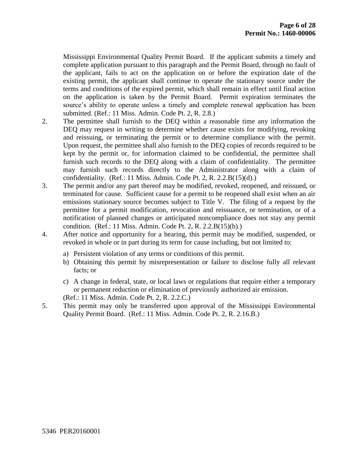Mississippi Environmental Quality Permit Board. If the applicant submits a timely and complete application pursuant to this paragraph and the Permit Board, through no fault of the applicant, fails to act on the application on or before the expiration date of the existing permit, the applicant shall continue to operate the stationary source under the terms and conditions of the expired permit, which shall remain in effect until final action on the application is taken by the Permit Board. Permit expiration terminates the source's ability to operate unless a timely and complete renewal application has been submitted. (Ref.: 11 Miss. Admin. Code Pt. 2, R. 2.8.)

- 2. The permittee shall furnish to the DEQ within a reasonable time any information the DEQ may request in writing to determine whether cause exists for modifying, revoking and reissuing, or terminating the permit or to determine compliance with the permit. Upon request, the permittee shall also furnish to the DEQ copies of records required to be kept by the permit or, for information claimed to be confidential, the permittee shall furnish such records to the DEQ along with a claim of confidentiality. The permittee may furnish such records directly to the Administrator along with a claim of confidentiality. (Ref.: 11 Miss. Admin. Code Pt. 2, R.  $2.2.B(15)(d)$ .)
- 3. The permit and/or any part thereof may be modified, revoked, reopened, and reissued, or terminated for cause. Sufficient cause for a permit to be reopened shall exist when an air emissions stationary source becomes subject to Title V. The filing of a request by the permittee for a permit modification, revocation and reissuance, or termination, or of a notification of planned changes or anticipated noncompliance does not stay any permit condition. (Ref.: 11 Miss. Admin. Code Pt. 2, R. 2.2.B(15)(b).)
- 4. After notice and opportunity for a hearing, this permit may be modified, suspended, or revoked in whole or in part during its term for cause including, but not limited to:
	- a) Persistent violation of any terms or conditions of this permit.
	- b) Obtaining this permit by misrepresentation or failure to disclose fully all relevant facts; or
	- c) A change in federal, state, or local laws or regulations that require either a temporary or permanent reduction or elimination of previously authorized air emission.
	- (Ref.: 11 Miss. Admin. Code Pt. 2, R. 2.2.C.)
- 5. This permit may only be transferred upon approval of the Mississippi Environmental Quality Permit Board. (Ref.: 11 Miss. Admin. Code Pt. 2, R. 2.16.B.)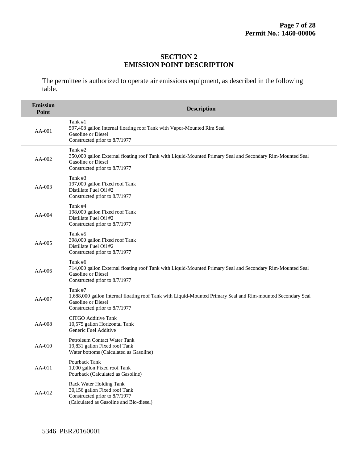#### **SECTION 2 EMISSION POINT DESCRIPTION**

The permittee is authorized to operate air emissions equipment, as described in the following table.

| <b>Emission</b><br>Point | <b>Description</b>                                                                                                                                                                  |
|--------------------------|-------------------------------------------------------------------------------------------------------------------------------------------------------------------------------------|
| AA-001                   | Tank #1<br>597,408 gallon Internal floating roof Tank with Vapor-Mounted Rim Seal<br>Gasoline or Diesel<br>Constructed prior to 8/7/1977                                            |
| AA-002                   | Tank #2<br>350,000 gallon External floating roof Tank with Liquid-Mounted Primary Seal and Secondary Rim-Mounted Seal<br><b>Gasoline</b> or Diesel<br>Constructed prior to 8/7/1977 |
| AA-003                   | Tank #3<br>197,000 gallon Fixed roof Tank<br>Distillate Fuel Oil #2<br>Constructed prior to 8/7/1977                                                                                |
| $AA-004$                 | Tank #4<br>198,000 gallon Fixed roof Tank<br>Distillate Fuel Oil #2<br>Constructed prior to 8/7/1977                                                                                |
| AA-005                   | Tank #5<br>398,000 gallon Fixed roof Tank<br>Distillate Fuel Oil #2<br>Constructed prior to 8/7/1977                                                                                |
| $AA-006$                 | Tank #6<br>714,000 gallon External floating roof Tank with Liquid-Mounted Primary Seal and Secondary Rim-Mounted Seal<br>Gasoline or Diesel<br>Constructed prior to 8/7/1977        |
| AA-007                   | Tank #7<br>1,688,000 gallon Internal floating roof Tank with Liquid-Mounted Primary Seal and Rim-mounted Secondary Seal<br>Gasoline or Diesel<br>Constructed prior to 8/7/1977      |
| AA-008                   | <b>CITGO Additive Tank</b><br>10,575 gallon Horizontal Tank<br>Generic Fuel Additive                                                                                                |
| AA-010                   | Petroleum Contact Water Tank<br>19,831 gallon Fixed roof Tank<br>Water bottoms (Calculated as Gasoline)                                                                             |
| AA-011                   | Pourback Tank<br>1,000 gallon Fixed roof Tank<br>Pourback (Calculated as Gasoline)                                                                                                  |
| AA-012                   | Rack Water Holding Tank<br>30,156 gallon Fixed roof Tank<br>Constructed prior to 8/7/1977<br>(Calculated as Gasoline and Bio-diesel)                                                |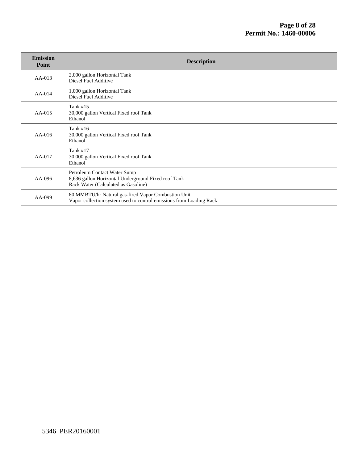| <b>Emission</b><br>Point | <b>Description</b>                                                                                                         |
|--------------------------|----------------------------------------------------------------------------------------------------------------------------|
| $AA-013$                 | 2,000 gallon Horizontal Tank<br>Diesel Fuel Additive                                                                       |
| $AA-014$                 | 1,000 gallon Horizontal Tank<br>Diesel Fuel Additive                                                                       |
| $AA-015$                 | Tank #15<br>30,000 gallon Vertical Fixed roof Tank<br>Ethanol                                                              |
| $AA-016$                 | Tank $#16$<br>30,000 gallon Vertical Fixed roof Tank<br>Ethanol                                                            |
| $AA-017$                 | Tank #17<br>30,000 gallon Vertical Fixed roof Tank<br>Ethanol                                                              |
| AA-096                   | Petroleum Contact Water Sump<br>8,636 gallon Horizontal Underground Fixed roof Tank<br>Rack Water (Calculated as Gasoline) |
| AA-099                   | 80 MMBTU/hr Natural gas-fired Vapor Combustion Unit<br>Vapor collection system used to control emissions from Loading Rack |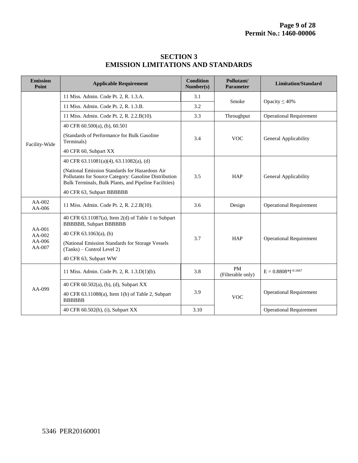| <b>Emission</b><br>Point                 | <b>Applicable Requirement</b>                                                                                                                                                                                             | <b>Condition</b><br>Number(s) | Pollutant/<br><b>Parameter</b> | <b>Limitation/Standard</b>     |
|------------------------------------------|---------------------------------------------------------------------------------------------------------------------------------------------------------------------------------------------------------------------------|-------------------------------|--------------------------------|--------------------------------|
| Facility-Wide                            | 11 Miss. Admin. Code Pt. 2, R. 1.3.A.                                                                                                                                                                                     | 3.1                           | Smoke                          | Opacity $\leq 40\%$            |
|                                          | 11 Miss. Admin. Code Pt. 2, R. 1.3.B.                                                                                                                                                                                     | 3.2                           |                                |                                |
|                                          | 11 Miss. Admin. Code Pt. 2, R. 2.2.B(10).                                                                                                                                                                                 | 3.3                           | Throughput                     | <b>Operational Requirement</b> |
|                                          | 40 CFR 60.500(a), (b), 60.501                                                                                                                                                                                             |                               |                                | General Applicability          |
|                                          | (Standards of Performance for Bulk Gasoline)<br>Terminals)                                                                                                                                                                | 3.4                           | <b>VOC</b>                     |                                |
|                                          | 40 CFR 60, Subpart XX                                                                                                                                                                                                     |                               |                                |                                |
|                                          | 40 CFR 63.11081(a)(4), 63.11082(a), (d)                                                                                                                                                                                   |                               |                                |                                |
|                                          | (National Emission Standards for Hazardous Air<br>Pollutants for Source Category: Gasoline Distribution<br>Bulk Terminals, Bulk Plants, and Pipeline Facilities)                                                          | 3.5                           | <b>HAP</b>                     | General Applicability          |
|                                          | 40 CFR 63, Subpart BBBBBB                                                                                                                                                                                                 |                               |                                |                                |
| AA-002<br>AA-006                         | 11 Miss. Admin. Code Pt. 2, R. 2.2.B(10).                                                                                                                                                                                 | 3.6                           | Design                         | <b>Operational Requirement</b> |
| $AA-001$<br>AA-002<br>$AA-006$<br>AA-007 | 40 CFR 63.11087(a), Item 2(d) of Table 1 to Subpart<br><b>BBBBBB, Subpart BBBBBB</b><br>40 CFR 63.1063(a), (b)<br>(National Emission Standards for Storage Vessels<br>(Tanks) – Control Level 2)<br>40 CFR 63, Subpart WW | 3.7                           | <b>HAP</b>                     | <b>Operational Requirement</b> |
| $AA-099$                                 | 11 Miss. Admin. Code Pt. 2, R. 1.3.D(1)(b).                                                                                                                                                                               | 3.8                           | <b>PM</b><br>(Filterable only) | $E = 0.8808*I^{-0.1667}$       |
|                                          | 40 CFR 60.502(a), (b), (d), Subpart XX                                                                                                                                                                                    |                               |                                | <b>Operational Requirement</b> |
|                                          | 40 CFR 63.11088(a), Item 1(b) of Table 2, Subpart<br><b>BBBBBB</b>                                                                                                                                                        | 3.9                           | <b>VOC</b>                     |                                |
|                                          | 40 CFR 60.502(h), (i), Subpart XX                                                                                                                                                                                         | 3.10                          |                                | <b>Operational Requirement</b> |

#### **SECTION 3 EMISSION LIMITATIONS AND STANDARDS**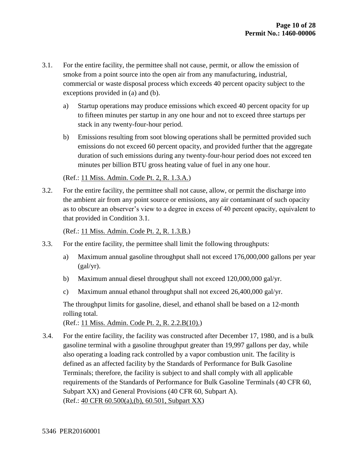- 3.1. For the entire facility, the permittee shall not cause, permit, or allow the emission of smoke from a point source into the open air from any manufacturing, industrial, commercial or waste disposal process which exceeds 40 percent opacity subject to the exceptions provided in (a) and (b).
	- a) Startup operations may produce emissions which exceed 40 percent opacity for up to fifteen minutes per startup in any one hour and not to exceed three startups per stack in any twenty-four-hour period.
	- b) Emissions resulting from soot blowing operations shall be permitted provided such emissions do not exceed 60 percent opacity, and provided further that the aggregate duration of such emissions during any twenty-four-hour period does not exceed ten minutes per billion BTU gross heating value of fuel in any one hour.

#### (Ref.: 11 Miss. Admin. Code Pt. 2, R. 1.3.A.)

3.2. For the entire facility, the permittee shall not cause, allow, or permit the discharge into the ambient air from any point source or emissions, any air contaminant of such opacity as to obscure an observer's view to a degree in excess of 40 percent opacity, equivalent to that provided in Condition 3.1.

(Ref.: 11 Miss. Admin. Code Pt. 2, R. 1.3.B.)

- 3.3. For the entire facility, the permittee shall limit the following throughputs:
	- a) Maximum annual gasoline throughput shall not exceed 176,000,000 gallons per year  $(gal/yr)$ .
	- b) Maximum annual diesel throughput shall not exceed 120,000,000 gal/yr.
	- c) Maximum annual ethanol throughput shall not exceed 26,400,000 gal/yr.

The throughput limits for gasoline, diesel, and ethanol shall be based on a 12-month rolling total.

(Ref.: 11 Miss. Admin. Code Pt. 2, R. 2.2.B(10).)

3.4. For the entire facility, the facility was constructed after December 17, 1980, and is a bulk gasoline terminal with a gasoline throughput greater than 19,997 gallons per day, while also operating a loading rack controlled by a vapor combustion unit. The facility is defined as an affected facility by the Standards of Performance for Bulk Gasoline Terminals; therefore, the facility is subject to and shall comply with all applicable requirements of the Standards of Performance for Bulk Gasoline Terminals (40 CFR 60, Subpart XX) and General Provisions (40 CFR 60, Subpart A). (Ref.: 40 CFR 60.500(a),(b), 60.501, Subpart XX)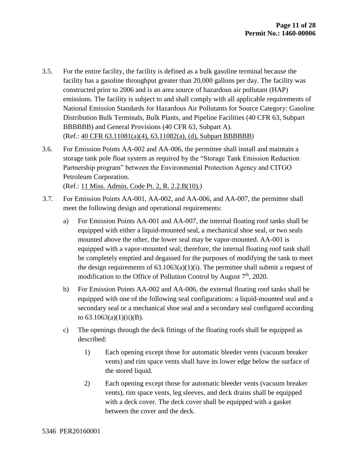- 3.5. For the entire facility, the facility is defined as a bulk gasoline terminal because the facility has a gasoline throughput greater than 20,000 gallons per day. The facility was constructed prior to 2006 and is an area source of hazardous air pollutant (HAP) emissions. The facility is subject to and shall comply with all applicable requirements of National Emission Standards for Hazardous Air Pollutants for Source Category: Gasoline Distribution Bulk Terminals, Bulk Plants, and Pipeline Facilities (40 CFR 63, Subpart BBBBBB) and General Provisions (40 CFR 63, Subpart A). (Ref.: 40 CFR 63.11081(a)(4), 63.11082(a), (d), Subpart BBBBBB)
- 3.6. For Emission Points AA-002 and AA-006, the permittee shall install and maintain a storage tank pole float system as required by the "Storage Tank Emission Reduction Partnership program" between the Environmental Protection Agency and CITGO Petroleum Corporation. (Ref.: 11 Miss. Admin. Code Pt. 2, R. 2.2.B(10).)
- 3.7. For Emission Points AA-001, AA-002, and AA-006, and AA-007, the permittee shall meet the following design and operational requirements:
	- a) For Emission Points AA-001 and AA-007, the internal floating roof tanks shall be equipped with either a liquid-mounted seal, a mechanical shoe seal, or two seals mounted above the other, the lower seal may be vapor-mounted. AA-001 is equipped with a vapor-mounted seal; therefore, the internal floating roof tank shall be completely emptied and degassed for the purposes of modifying the tank to meet the design requirements of  $63.1063(a)(1)(i)$ . The permittee shall submit a request of modification to the Office of Pollution Control by August  $7<sup>th</sup>$ , 2020.
	- b) For Emission Points AA-002 and AA-006, the external floating roof tanks shall be equipped with one of the following seal configurations: a liquid-mounted seal and a secondary seal or a mechanical shoe seal and a secondary seal configured according to  $63.1063(a)(1)(ii)(B)$ .
	- c) The openings through the deck fittings of the floating roofs shall be equipped as described:
		- 1) Each opening except those for automatic bleeder vents (vacuum breaker vents) and rim space vents shall have its lower edge below the surface of the stored liquid.
		- 2) Each opening except those for automatic bleeder vents (vacuum breaker vents), rim space vents, leg sleeves, and deck drains shall be equipped with a deck cover. The deck cover shall be equipped with a gasket between the cover and the deck.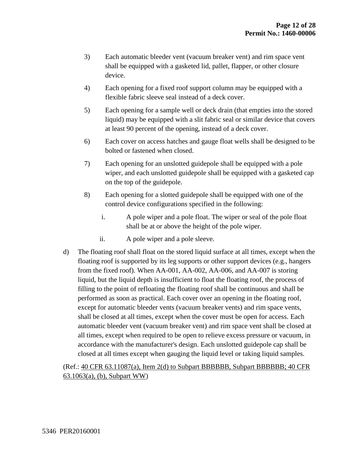- 3) Each automatic bleeder vent (vacuum breaker vent) and rim space vent shall be equipped with a gasketed lid, pallet, flapper, or other closure device.
- 4) Each opening for a fixed roof support column may be equipped with a flexible fabric sleeve seal instead of a deck cover.
- 5) Each opening for a sample well or deck drain (that empties into the stored liquid) may be equipped with a slit fabric seal or similar device that covers at least 90 percent of the opening, instead of a deck cover.
- 6) Each cover on access hatches and gauge float wells shall be designed to be bolted or fastened when closed.
- 7) Each opening for an unslotted guidepole shall be equipped with a pole wiper, and each unslotted guidepole shall be equipped with a gasketed cap on the top of the guidepole.
- 8) Each opening for a slotted guidepole shall be equipped with one of the control device configurations specified in the following:
	- i. A pole wiper and a pole float. The wiper or seal of the pole float shall be at or above the height of the pole wiper.
	- ii. A pole wiper and a pole sleeve.
- d) The floating roof shall float on the stored liquid surface at all times, except when the floating roof is supported by its leg supports or other support devices (e.g., hangers from the fixed roof). When AA-001, AA-002, AA-006, and AA-007 is storing liquid, but the liquid depth is insufficient to float the floating roof, the process of filling to the point of refloating the floating roof shall be continuous and shall be performed as soon as practical. Each cover over an opening in the floating roof, except for automatic bleeder vents (vacuum breaker vents) and rim space vents, shall be closed at all times, except when the cover must be open for access. Each automatic bleeder vent (vacuum breaker vent) and rim space vent shall be closed at all times, except when required to be open to relieve excess pressure or vacuum, in accordance with the manufacturer's design. Each unslotted guidepole cap shall be closed at all times except when gauging the liquid level or taking liquid samples.

#### (Ref.: 40 CFR 63.11087(a), Item 2(d) to Subpart BBBBBB, Subpart BBBBBB; 40 CFR 63.1063(a), (b), Subpart WW)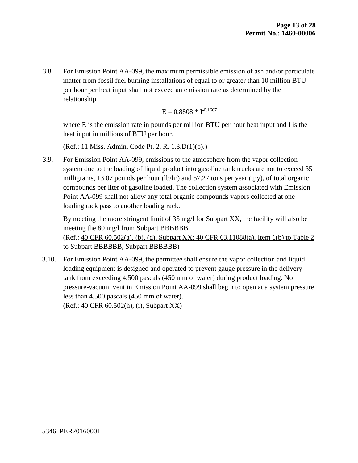3.8. For Emission Point AA-099, the maximum permissible emission of ash and/or particulate matter from fossil fuel burning installations of equal to or greater than 10 million BTU per hour per heat input shall not exceed an emission rate as determined by the relationship

$$
E=0.8808\,*\,I^{-0.1667}
$$

where E is the emission rate in pounds per million BTU per hour heat input and I is the heat input in millions of BTU per hour.

(Ref.: 11 Miss. Admin. Code Pt. 2, R. 1.3.D(1)(b).)

3.9. For Emission Point AA-099, emissions to the atmosphere from the vapor collection system due to the loading of liquid product into gasoline tank trucks are not to exceed 35 milligrams, 13.07 pounds per hour (lb/hr) and 57.27 tons per year (tpy), of total organic compounds per liter of gasoline loaded. The collection system associated with Emission Point AA-099 shall not allow any total organic compounds vapors collected at one loading rack pass to another loading rack.

By meeting the more stringent limit of 35 mg/l for Subpart XX, the facility will also be meeting the 80 mg/l from Subpart BBBBBB. (Ref.: 40 CFR 60.502(a), (b), (d), Subpart XX; 40 CFR 63.11088(a), Item 1(b) to Table 2 to Subpart BBBBBB, Subpart BBBBBB)

3.10. For Emission Point AA-099, the permittee shall ensure the vapor collection and liquid loading equipment is designed and operated to prevent gauge pressure in the delivery tank from exceeding 4,500 pascals (450 mm of water) during product loading. No pressure-vacuum vent in Emission Point AA-099 shall begin to open at a system pressure less than 4,500 pascals (450 mm of water). (Ref.: 40 CFR 60.502(h), (i), Subpart XX)

5346 PER20160001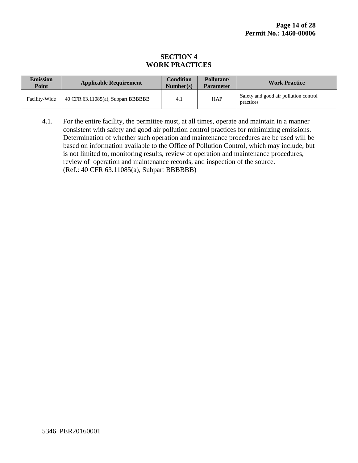#### **SECTION 4 WORK PRACTICES**

| <b>Emission</b><br><b>Point</b> | <b>Applicable Requirement</b>      | <b>Condition</b><br>Number(s) | Pollutant/<br><b>Parameter</b> | <b>Work Practice</b>                               |
|---------------------------------|------------------------------------|-------------------------------|--------------------------------|----------------------------------------------------|
| Facility-Wide                   | 40 CFR 63.11085(a), Subpart BBBBBB | 4.1                           | <b>HAP</b>                     | Safety and good air pollution control<br>practices |

4.1. For the entire facility, the permittee must, at all times, operate and maintain in a manner consistent with safety and good air pollution control practices for minimizing emissions. Determination of whether such operation and maintenance procedures are be used will be based on information available to the Office of Pollution Control, which may include, but is not limited to, monitoring results, review of operation and maintenance procedures, review of operation and maintenance records, and inspection of the source. (Ref.: 40 CFR 63.11085(a), Subpart BBBBBB)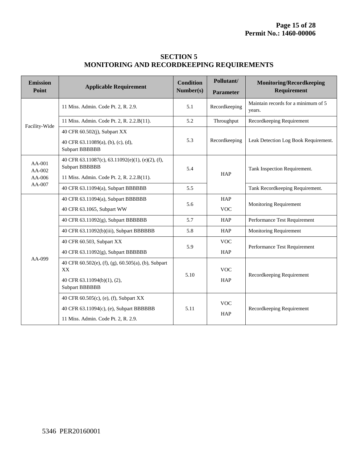| <b>SECTION 5</b>                                 |
|--------------------------------------------------|
| <b>MONITORING AND RECORDKEEPING REQUIREMENTS</b> |

| <b>Emission</b><br>Point                 | <b>Applicable Requirement</b>                                             | <b>Condition</b><br>Number(s) | Pollutant/<br><b>Parameter</b> | <b>Monitoring/Recordkeeping</b><br>Requirement |
|------------------------------------------|---------------------------------------------------------------------------|-------------------------------|--------------------------------|------------------------------------------------|
|                                          | 11 Miss. Admin. Code Pt. 2, R. 2.9.                                       | 5.1                           | Recordkeeping                  | Maintain records for a minimum of 5<br>years.  |
| Facility-Wide                            | 11 Miss. Admin. Code Pt. 2, R. 2.2.B(11).                                 | 5.2                           | Throughput                     | Recordkeeping Requirement                      |
|                                          | 40 CFR 60.502(j), Subpart XX                                              |                               | 5.3<br>Recordkeeping           | Leak Detection Log Book Requirement.           |
|                                          | 40 CFR 63.11089(a), (b), (c), (d),<br><b>Subpart BBBBBB</b>               |                               |                                |                                                |
| $AA-001$<br>$AA-002$<br>AA-006<br>AA-007 | 40 CFR 63.11087(c), 63.11092(e)(1), (e)(2), (f),<br><b>Subpart BBBBBB</b> | 5.4                           |                                | Tank Inspection Requirement.                   |
|                                          | 11 Miss. Admin. Code Pt. 2, R. 2.2.B(11).                                 | <b>HAP</b>                    |                                |                                                |
|                                          | 40 CFR 63.11094(a), Subpart BBBBBB                                        | 5.5                           |                                | Tank Recordkeeping Requirement.                |
|                                          | 40 CFR 63.11094(a), Subpart BBBBBB                                        | 5.6                           | HAP                            | Monitoring Requirement                         |
|                                          | 40 CFR 63.1065, Subpart WW                                                |                               | <b>VOC</b>                     |                                                |
|                                          | 40 CFR 63.11092(g), Subpart BBBBBB                                        | 5.7                           | <b>HAP</b>                     | Performance Test Requirement                   |
|                                          | 40 CFR 63.11092(b)(iii), Subpart BBBBBB                                   | 5.8                           | <b>HAP</b>                     | <b>Monitoring Requirement</b>                  |
|                                          | 40 CFR 60.503, Subpart XX                                                 | 5.9                           | <b>VOC</b>                     | Performance Test Requirement                   |
|                                          | 40 CFR 63.11092(g), Subpart BBBBBB                                        |                               | <b>HAP</b>                     |                                                |
| AA-099                                   | 40 CFR 60.502(e), (f), (g), 60.505(a), (b), Subpart<br>XX                 | 5.10                          | <b>VOC</b>                     | Recordkeeping Requirement                      |
|                                          | 40 CFR 63.11094(b)(1), (2),<br><b>Subpart BBBBBB</b>                      |                               | <b>HAP</b>                     |                                                |
|                                          | 40 CFR 60.505(c), (e), (f), Subpart XX                                    | 5.11                          | <b>VOC</b><br><b>HAP</b>       | Recordkeeping Requirement                      |
|                                          | 40 CFR 63.11094(c), (e), Subpart BBBBBB                                   |                               |                                |                                                |
|                                          | 11 Miss. Admin. Code Pt. 2, R. 2.9.                                       |                               |                                |                                                |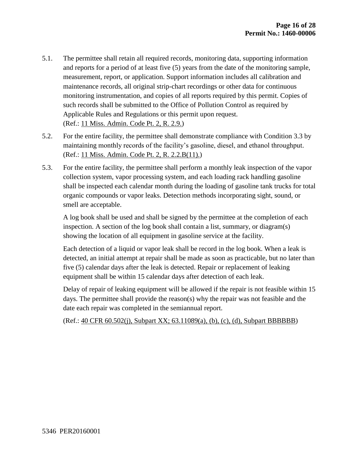- 5.1. The permittee shall retain all required records, monitoring data, supporting information and reports for a period of at least five (5) years from the date of the monitoring sample, measurement, report, or application. Support information includes all calibration and maintenance records, all original strip-chart recordings or other data for continuous monitoring instrumentation, and copies of all reports required by this permit. Copies of such records shall be submitted to the Office of Pollution Control as required by Applicable Rules and Regulations or this permit upon request. (Ref.: 11 Miss. Admin. Code Pt. 2, R. 2.9.)
- 5.2. For the entire facility, the permittee shall demonstrate compliance with Condition 3.3 by maintaining monthly records of the facility's gasoline, diesel, and ethanol throughput. (Ref.: 11 Miss. Admin. Code Pt. 2, R. 2.2.B(11).)
- 5.3. For the entire facility, the permittee shall perform a monthly leak inspection of the vapor collection system, vapor processing system, and each loading rack handling gasoline shall be inspected each calendar month during the loading of gasoline tank trucks for total organic compounds or vapor leaks. Detection methods incorporating sight, sound, or smell are acceptable.

A log book shall be used and shall be signed by the permittee at the completion of each inspection. A section of the log book shall contain a list, summary, or diagram(s) showing the location of all equipment in gasoline service at the facility.

Each detection of a liquid or vapor leak shall be record in the log book. When a leak is detected, an initial attempt at repair shall be made as soon as practicable, but no later than five (5) calendar days after the leak is detected. Repair or replacement of leaking equipment shall be within 15 calendar days after detection of each leak.

Delay of repair of leaking equipment will be allowed if the repair is not feasible within 15 days. The permittee shall provide the reason(s) why the repair was not feasible and the date each repair was completed in the semiannual report.

(Ref.: 40 CFR 60.502(j), Subpart XX; 63.11089(a), (b), (c), (d), Subpart BBBBBB)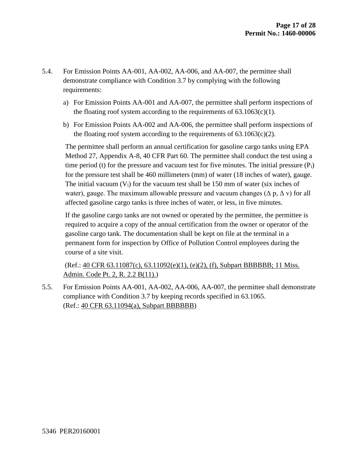- 5.4. For Emission Points AA-001, AA-002, AA-006, and AA-007, the permittee shall demonstrate compliance with Condition 3.7 by complying with the following requirements:
	- a) For Emission Points AA-001 and AA-007, the permittee shall perform inspections of the floating roof system according to the requirements of  $63.1063(c)(1)$ .
	- b) For Emission Points AA-002 and AA-006, the permittee shall perform inspections of the floating roof system according to the requirements of  $63.1063(c)(2)$ .

The permittee shall perform an annual certification for gasoline cargo tanks using EPA Method 27, Appendix A-8, 40 CFR Part 60. The permittee shall conduct the test using a time period (t) for the pressure and vacuum test for five minutes. The initial pressure  $(P_i)$ for the pressure test shall be 460 millimeters (mm) of water (18 inches of water), gauge. The initial vacuum  $(V_i)$  for the vacuum test shall be 150 mm of water (six inches of water), gauge. The maximum allowable pressure and vacuum changes ( $\Delta p$ ,  $\Delta v$ ) for all affected gasoline cargo tanks is three inches of water, or less, in five minutes.

If the gasoline cargo tanks are not owned or operated by the permittee, the permittee is required to acquire a copy of the annual certification from the owner or operator of the gasoline cargo tank. The documentation shall be kept on file at the terminal in a permanent form for inspection by Office of Pollution Control employees during the course of a site visit.

(Ref.: 40 CFR 63.11087(c), 63.11092(e)(1), (e)(2), (f), Subpart BBBBBB; 11 Miss. Admin. Code Pt. 2, R. 2.2 B(11).)

5.5. For Emission Points AA-001, AA-002, AA-006, AA-007, the permittee shall demonstrate compliance with Condition 3.7 by keeping records specified in 63.1065. (Ref.: 40 CFR 63.11094(a), Subpart BBBBBB)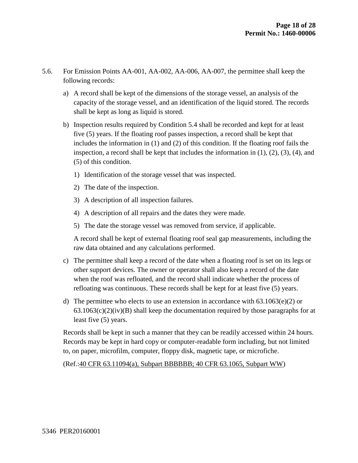- 5.6. For Emission Points AA-001, AA-002, AA-006, AA-007, the permittee shall keep the following records:
	- a) A record shall be kept of the dimensions of the storage vessel, an analysis of the capacity of the storage vessel, and an identification of the liquid stored. The records shall be kept as long as liquid is stored.
	- b) Inspection results required by Condition 5.4 shall be recorded and kept for at least five (5) years. If the floating roof passes inspection, a record shall be kept that includes the information in (1) and (2) of this condition. If the floating roof fails the inspection, a record shall be kept that includes the information in  $(1)$ ,  $(2)$ ,  $(3)$ ,  $(4)$ , and (5) of this condition.
		- 1) Identification of the storage vessel that was inspected.
		- 2) The date of the inspection.
		- 3) A description of all inspection failures.
		- 4) A description of all repairs and the dates they were made.
		- 5) The date the storage vessel was removed from service, if applicable.

A record shall be kept of external floating roof seal gap measurements, including the raw data obtained and any calculations performed.

- c) The permittee shall keep a record of the date when a floating roof is set on its legs or other support devices. The owner or operator shall also keep a record of the date when the roof was refloated, and the record shall indicate whether the process of refloating was continuous. These records shall be kept for at least five (5) years.
- d) The permittee who elects to use an extension in accordance with  $63.1063(e)(2)$  or  $63.1063(c)(2)(iv)(B)$  shall keep the documentation required by those paragraphs for at least five (5) years.

Records shall be kept in such a manner that they can be readily accessed within 24 hours. Records may be kept in hard copy or computer-readable form including, but not limited to, on paper, microfilm, computer, floppy disk, magnetic tape, or microfiche.

(Ref.:40 CFR 63.11094(a), Subpart BBBBBB; 40 CFR 63.1065, Subpart WW)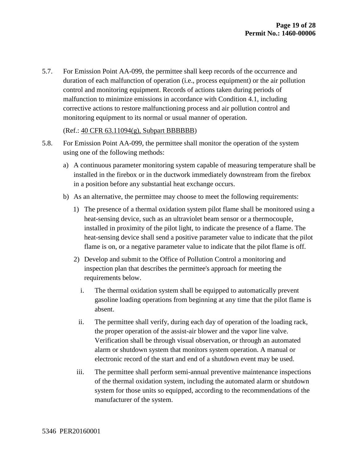5.7. For Emission Point AA-099, the permittee shall keep records of the occurrence and duration of each malfunction of operation (i.e., process equipment) or the air pollution control and monitoring equipment. Records of actions taken during periods of malfunction to minimize emissions in accordance with Condition 4.1, including corrective actions to restore malfunctioning process and air pollution control and monitoring equipment to its normal or usual manner of operation.

#### (Ref.: 40 CFR 63.11094(g), Subpart BBBBBB)

- 5.8. For Emission Point AA-099, the permittee shall monitor the operation of the system using one of the following methods:
	- a) A continuous parameter monitoring system capable of measuring temperature shall be installed in the firebox or in the ductwork immediately downstream from the firebox in a position before any substantial heat exchange occurs.
	- b) As an alternative, the permittee may choose to meet the following requirements:
		- 1) The presence of a thermal oxidation system pilot flame shall be monitored using a heat-sensing device, such as an ultraviolet beam sensor or a thermocouple, installed in proximity of the pilot light, to indicate the presence of a flame. The heat-sensing device shall send a positive parameter value to indicate that the pilot flame is on, or a negative parameter value to indicate that the pilot flame is off.
		- 2) Develop and submit to the Office of Pollution Control a monitoring and inspection plan that describes the permittee's approach for meeting the requirements below.
			- i. The thermal oxidation system shall be equipped to automatically prevent gasoline loading operations from beginning at any time that the pilot flame is absent.
			- ii. The permittee shall verify, during each day of operation of the loading rack, the proper operation of the assist-air blower and the vapor line valve. Verification shall be through visual observation, or through an automated alarm or shutdown system that monitors system operation. A manual or electronic record of the start and end of a shutdown event may be used.
		- iii. The permittee shall perform semi-annual preventive maintenance inspections of the thermal oxidation system, including the automated alarm or shutdown system for those units so equipped, according to the recommendations of the manufacturer of the system.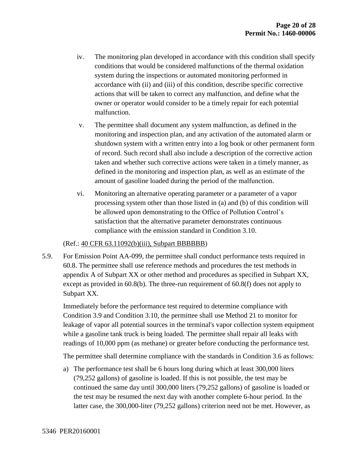- iv. The monitoring plan developed in accordance with this condition shall specify conditions that would be considered malfunctions of the thermal oxidation system during the inspections or automated monitoring performed in accordance with (ii) and (iii) of this condition, describe specific corrective actions that will be taken to correct any malfunction, and define what the owner or operator would consider to be a timely repair for each potential malfunction.
- v. The permittee shall document any system malfunction, as defined in the monitoring and inspection plan, and any activation of the automated alarm or shutdown system with a written entry into a log book or other permanent form of record. Such record shall also include a description of the corrective action taken and whether such corrective actions were taken in a timely manner, as defined in the monitoring and inspection plan, as well as an estimate of the amount of gasoline loaded during the period of the malfunction.
- vi. Monitoring an alternative operating parameter or a parameter of a vapor processing system other than those listed in (a) and (b) of this condition will be allowed upon demonstrating to the Office of Pollution Control's satisfaction that the alternative parameter demonstrates continuous compliance with the emission standard in Condition 3.10.

#### (Ref.: 40 CFR 63.11092(b)(iii), Subpart BBBBBB)

5.9. For Emission Point AA-099, the permittee shall conduct performance tests required in 60.8. The permittee shall use reference methods and procedures the test methods in appendix A of Subpart XX or other method and procedures as specified in Subpart XX, except as provided in 60.8(b). The three-run requirement of 60.8(f) does not apply to Subpart XX.

Immediately before the performance test required to determine compliance with Condition 3.9 and Condition 3.10, the permittee shall use Method 21 to monitor for leakage of vapor all potential sources in the terminal's vapor collection system equipment while a gasoline tank truck is being loaded. The permittee shall repair all leaks with readings of 10,000 ppm (as methane) or greater before conducting the performance test.

The permittee shall determine compliance with the standards in Condition 3.6 as follows:

a) The performance test shall be 6 hours long during which at least 300,000 liters (79,252 gallons) of gasoline is loaded. If this is not possible, the test may be continued the same day until 300,000 liters (79,252 gallons) of gasoline is loaded or the test may be resumed the next day with another complete 6-hour period. In the latter case, the 300,000-liter (79,252 gallons) criterion need not be met. However, as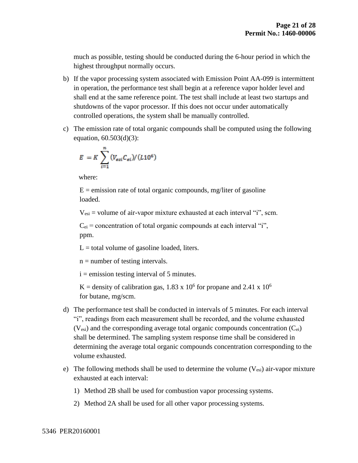much as possible, testing should be conducted during the 6-hour period in which the highest throughput normally occurs.

- b) If the vapor processing system associated with Emission Point AA-099 is intermittent in operation, the performance test shall begin at a reference vapor holder level and shall end at the same reference point. The test shall include at least two startups and shutdowns of the vapor processor. If this does not occur under automatically controlled operations, the system shall be manually controlled.
- c) The emission rate of total organic compounds shall be computed using the following equation, 60.503(d)(3):

$$
E = K \sum_{i=1}^{n} (V_{esi} C_{ei}) / (L10^6)
$$

where:

 $E =$  emission rate of total organic compounds, mg/liter of gasoline loaded.

 $V_{\text{esi}}$  = volume of air-vapor mixture exhausted at each interval "i", scm.

 $C_{ei}$  = concentration of total organic compounds at each interval "i", ppm.

 $L =$  total volume of gasoline loaded, liters.

 $n =$  number of testing intervals.

 $i =$  emission testing interval of 5 minutes.

K = density of calibration gas, 1.83 x  $10^6$  for propane and 2.41 x  $10^6$ for butane, mg/scm.

- d) The performance test shall be conducted in intervals of 5 minutes. For each interval "i", readings from each measurement shall be recorded, and the volume exhausted  $(V_{\text{esi}})$  and the corresponding average total organic compounds concentration  $(C_{\text{ei}})$ shall be determined. The sampling system response time shall be considered in determining the average total organic compounds concentration corresponding to the volume exhausted.
- e) The following methods shall be used to determine the volume  $(V_{\text{esi}})$  air-vapor mixture exhausted at each interval:
	- 1) Method 2B shall be used for combustion vapor processing systems.
	- 2) Method 2A shall be used for all other vapor processing systems.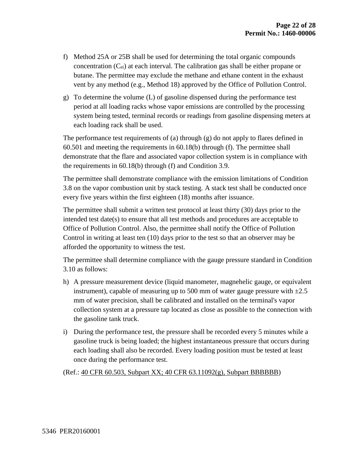- f) Method 25A or 25B shall be used for determining the total organic compounds concentration  $(C_{ei})$  at each interval. The calibration gas shall be either propane or butane. The permittee may exclude the methane and ethane content in the exhaust vent by any method (e.g., Method 18) approved by the Office of Pollution Control.
- g) To determine the volume (L) of gasoline dispensed during the performance test period at all loading racks whose vapor emissions are controlled by the processing system being tested, terminal records or readings from gasoline dispensing meters at each loading rack shall be used.

The performance test requirements of (a) through (g) do not apply to flares defined in 60.501 and meeting the requirements in 60.18(b) through (f). The permittee shall demonstrate that the flare and associated vapor collection system is in compliance with the requirements in 60.18(b) through (f) and Condition 3.9.

The permittee shall demonstrate compliance with the emission limitations of Condition 3.8 on the vapor combustion unit by stack testing. A stack test shall be conducted once every five years within the first eighteen (18) months after issuance.

The permittee shall submit a written test protocol at least thirty (30) days prior to the intended test date(s) to ensure that all test methods and procedures are acceptable to Office of Pollution Control. Also, the permittee shall notify the Office of Pollution Control in writing at least ten (10) days prior to the test so that an observer may be afforded the opportunity to witness the test.

The permittee shall determine compliance with the gauge pressure standard in Condition 3.10 as follows:

- h) A pressure measurement device (liquid manometer, magnehelic gauge, or equivalent instrument), capable of measuring up to 500 mm of water gauge pressure with  $\pm 2.5$ mm of water precision, shall be calibrated and installed on the terminal's vapor collection system at a pressure tap located as close as possible to the connection with the gasoline tank truck.
- i) During the performance test, the pressure shall be recorded every 5 minutes while a gasoline truck is being loaded; the highest instantaneous pressure that occurs during each loading shall also be recorded. Every loading position must be tested at least once during the performance test.

(Ref.: 40 CFR 60.503, Subpart XX; 40 CFR 63.11092(g), Subpart BBBBBB)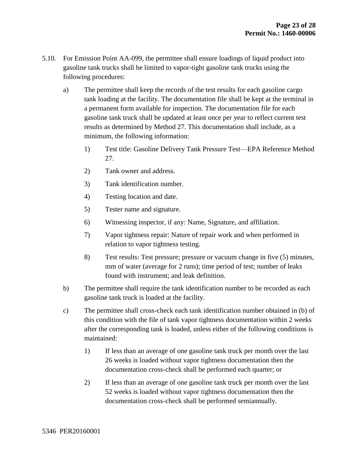- 5.10. For Emission Point AA-099, the permittee shall ensure loadings of liquid product into gasoline tank trucks shall be limited to vapor-tight gasoline tank trucks using the following procedures:
	- a) The permittee shall keep the records of the test results for each gasoline cargo tank loading at the facility. The documentation file shall be kept at the terminal in a permanent form available for inspection. The documentation file for each gasoline tank truck shall be updated at least once per year to reflect current test results as determined by Method 27. This documentation shall include, as a minimum, the following information:
		- 1) Test title: Gasoline Delivery Tank Pressure Test—EPA Reference Method 27.
		- 2) Tank owner and address.
		- 3) Tank identification number.
		- 4) Testing location and date.
		- 5) Tester name and signature.
		- 6) Witnessing inspector, if any: Name, Signature, and affiliation.
		- 7) Vapor tightness repair: Nature of repair work and when performed in relation to vapor tightness testing.
		- 8) Test results: Test pressure; pressure or vacuum change in five (5) minutes, mm of water (average for 2 runs); time period of test; number of leaks found with instrument; and leak definition.
	- b) The permittee shall require the tank identification number to be recorded as each gasoline tank truck is loaded at the facility.
	- c) The permittee shall cross-check each tank identification number obtained in (b) of this condition with the file of tank vapor tightness documentation within 2 weeks after the corresponding tank is loaded, unless either of the following conditions is maintained:
		- 1) If less than an average of one gasoline tank truck per month over the last 26 weeks is loaded without vapor tightness documentation then the documentation cross-check shall be performed each quarter; or
		- 2) If less than an average of one gasoline tank truck per month over the last 52 weeks is loaded without vapor tightness documentation then the documentation cross-check shall be performed semiannually.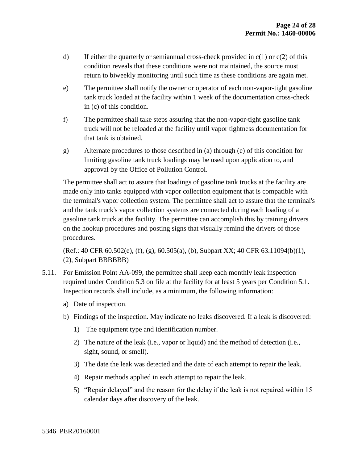- d) If either the quarterly or semiannual cross-check provided in  $c(1)$  or  $c(2)$  of this condition reveals that these conditions were not maintained, the source must return to biweekly monitoring until such time as these conditions are again met.
- e) The permittee shall notify the owner or operator of each non-vapor-tight gasoline tank truck loaded at the facility within 1 week of the documentation cross-check in (c) of this condition.
- f) The permittee shall take steps assuring that the non-vapor-tight gasoline tank truck will not be reloaded at the facility until vapor tightness documentation for that tank is obtained.
- g) Alternate procedures to those described in (a) through (e) of this condition for limiting gasoline tank truck loadings may be used upon application to, and approval by the Office of Pollution Control.

The permittee shall act to assure that loadings of gasoline tank trucks at the facility are made only into tanks equipped with vapor collection equipment that is compatible with the terminal's vapor collection system. The permittee shall act to assure that the terminal's and the tank truck's vapor collection systems are connected during each loading of a gasoline tank truck at the facility. The permittee can accomplish this by training drivers on the hookup procedures and posting signs that visually remind the drivers of those procedures.

#### (Ref.: 40 CFR 60.502(e), (f), (g), 60.505(a), (b), Subpart XX; 40 CFR 63.11094(b)(1), (2), Subpart BBBBBB)

- 5.11. For Emission Point AA-099, the permittee shall keep each monthly leak inspection required under Condition 5.3 on file at the facility for at least 5 years per Condition 5.1. Inspection records shall include, as a minimum, the following information:
	- a) Date of inspection.
	- b) Findings of the inspection. May indicate no leaks discovered. If a leak is discovered:
		- 1) The equipment type and identification number.
		- 2) The nature of the leak (i.e., vapor or liquid) and the method of detection (i.e., sight, sound, or smell).
		- 3) The date the leak was detected and the date of each attempt to repair the leak.
		- 4) Repair methods applied in each attempt to repair the leak.
		- 5) "Repair delayed" and the reason for the delay if the leak is not repaired within 15 calendar days after discovery of the leak.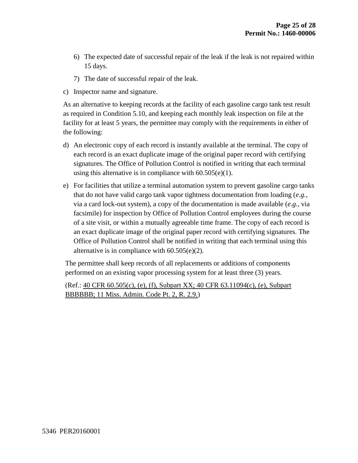- 6) The expected date of successful repair of the leak if the leak is not repaired within 15 days.
- 7) The date of successful repair of the leak.
- c) Inspector name and signature.

As an alternative to keeping records at the facility of each gasoline cargo tank test result as required in Condition 5.10, and keeping each monthly leak inspection on file at the facility for at least 5 years, the permittee may comply with the requirements in either of the following:

- d) An electronic copy of each record is instantly available at the terminal. The copy of each record is an exact duplicate image of the original paper record with certifying signatures. The Office of Pollution Control is notified in writing that each terminal using this alternative is in compliance with  $60.505(e)(1)$ .
- e) For facilities that utilize a terminal automation system to prevent gasoline cargo tanks that do not have valid cargo tank vapor tightness documentation from loading (*e.g.,* via a card lock-out system), a copy of the documentation is made available (*e.g.,* via facsimile) for inspection by Office of Pollution Control employees during the course of a site visit, or within a mutually agreeable time frame. The copy of each record is an exact duplicate image of the original paper record with certifying signatures. The Office of Pollution Control shall be notified in writing that each terminal using this alternative is in compliance with 60.505(e)(2).

The permittee shall keep records of all replacements or additions of components performed on an existing vapor processing system for at least three (3) years.

(Ref.: 40 CFR 60.505(c), (e), (f), Subpart XX; 40 CFR 63.11094(c), (e), Subpart BBBBBB; 11 Miss. Admin. Code Pt. 2, R. 2.9.)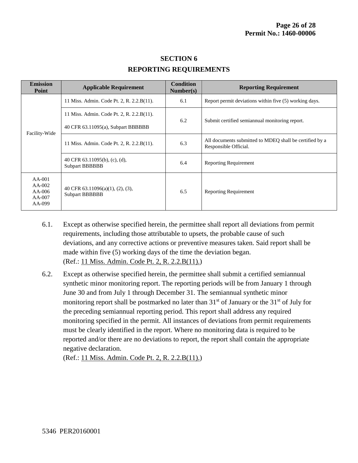| <b>Emission</b><br>Point                               | <b>Applicable Requirement</b>                               | <b>Condition</b><br>Number(s) | <b>Reporting Requirement</b>                                                     |  |
|--------------------------------------------------------|-------------------------------------------------------------|-------------------------------|----------------------------------------------------------------------------------|--|
| Facility-Wide                                          | 11 Miss. Admin. Code Pt. 2, R. 2.2.B(11).                   | 6.1                           | Report permit deviations within five (5) working days.                           |  |
|                                                        | 11 Miss. Admin. Code Pt. 2, R. 2.2.B(11).                   | 6.2                           | Submit certified semiannual monitoring report.                                   |  |
|                                                        | 40 CFR 63.11095(a), Subpart BBBBBB                          |                               |                                                                                  |  |
|                                                        | 11 Miss. Admin. Code Pt. 2, R. 2.2.B(11).                   | 6.3                           | All documents submitted to MDEO shall be certified by a<br>Responsible Official. |  |
|                                                        | 40 CFR 63.11095(b), (c), (d),<br>Subpart BBBBBB             | 6.4                           | <b>Reporting Requirement</b>                                                     |  |
| $AA-001$<br>$AA-002$<br>$AA-006$<br>$AA-007$<br>AA-099 | 40 CFR $63.11096(a)(1)$ , $(2)$ , $(3)$ ,<br>Subpart BBBBBB | 6.5                           | <b>Reporting Requirement</b>                                                     |  |

#### **SECTION 6 REPORTING REQUIREMENTS**

- 6.1. Except as otherwise specified herein, the permittee shall report all deviations from permit requirements, including those attributable to upsets, the probable cause of such deviations, and any corrective actions or preventive measures taken. Said report shall be made within five (5) working days of the time the deviation began. (Ref.: 11 Miss. Admin. Code Pt. 2, R. 2.2.B(11).)
- 6.2. Except as otherwise specified herein, the permittee shall submit a certified semiannual synthetic minor monitoring report. The reporting periods will be from January 1 through June 30 and from July 1 through December 31. The semiannual synthetic minor monitoring report shall be postmarked no later than  $31<sup>st</sup>$  of January or the  $31<sup>st</sup>$  of July for the preceding semiannual reporting period. This report shall address any required monitoring specified in the permit. All instances of deviations from permit requirements must be clearly identified in the report. Where no monitoring data is required to be reported and/or there are no deviations to report, the report shall contain the appropriate negative declaration.

(Ref.: 11 Miss. Admin. Code Pt. 2, R. 2.2.B(11).)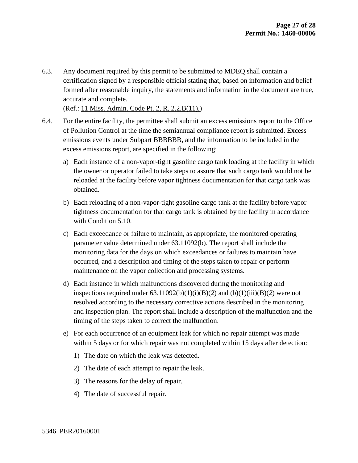6.3. Any document required by this permit to be submitted to MDEQ shall contain a certification signed by a responsible official stating that, based on information and belief formed after reasonable inquiry, the statements and information in the document are true, accurate and complete.

(Ref.: 11 Miss. Admin. Code Pt. 2, R. 2.2.B(11).)

- 6.4. For the entire facility, the permittee shall submit an excess emissions report to the Office of Pollution Control at the time the semiannual compliance report is submitted. Excess emissions events under Subpart BBBBBB, and the information to be included in the excess emissions report, are specified in the following:
	- a) Each instance of a non-vapor-tight gasoline cargo tank loading at the facility in which the owner or operator failed to take steps to assure that such cargo tank would not be reloaded at the facility before vapor tightness documentation for that cargo tank was obtained.
	- b) Each reloading of a non-vapor-tight gasoline cargo tank at the facility before vapor tightness documentation for that cargo tank is obtained by the facility in accordance with Condition 5.10.
	- c) Each exceedance or failure to maintain, as appropriate, the monitored operating parameter value determined under 63.11092(b). The report shall include the monitoring data for the days on which exceedances or failures to maintain have occurred, and a description and timing of the steps taken to repair or perform maintenance on the vapor collection and processing systems.
	- d) Each instance in which malfunctions discovered during the monitoring and inspections required under  $(63.11092(b)(1)(i)(B)(2)$  and  $(b)(1)(iii)(B)(2)$  were not resolved according to the necessary corrective actions described in the monitoring and inspection plan. The report shall include a description of the malfunction and the timing of the steps taken to correct the malfunction.
	- e) For each occurrence of an equipment leak for which no repair attempt was made within 5 days or for which repair was not completed within 15 days after detection:
		- 1) The date on which the leak was detected.
		- 2) The date of each attempt to repair the leak.
		- 3) The reasons for the delay of repair.
		- 4) The date of successful repair.